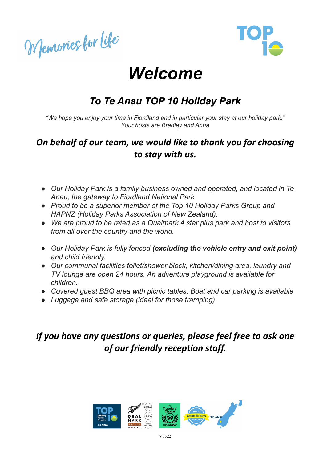Memories for life



# *Welcome*

# *To Te Anau TOP 10 Holiday Park*

*"We hope you enjoy your time in Fiordland and in particular your stay at our holiday park." Your hosts are Bradley and Anna*

### *On behalf of our team, we would like to thank you for choosing to stay with us.*

- *● Our Holiday Park is a family business owned and operated, and located in Te Anau, the gateway to Fiordland National Park*
- *● Proud to be a superior member of the Top 10 Holiday Parks Group and HAPNZ (Holiday Parks Association of New Zealand).*
- *● We are proud to be rated as a Qualmark 4 star plus park and host to visitors from all over the country and the world.*
- *● Our Holiday Park is fully fenced (excluding the vehicle entry and exit point) and child friendly.*
- *● Our communal facilities toilet/shower block, kitchen/dining area, laundry and TV lounge are open 24 hours. An adventure playground is available for children.*
- *● Covered guest BBQ area with picnic tables. Boat and car parking is available*
- *● Luggage and safe storage (ideal for those tramping)*

## *If you have any questions or queries, please feel free to ask one of our friendly reception staff.*

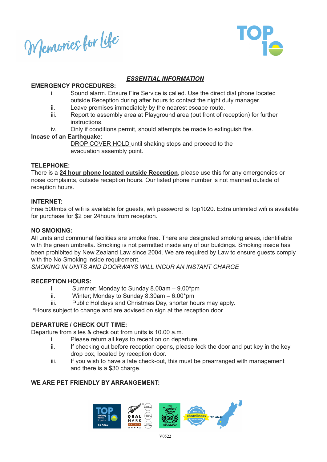Memories for life



#### *ESSENTIAL INFORMATION*

#### **EMERGENCY PROCEDURES:**

- i. Sound alarm. Ensure Fire Service is called. Use the direct dial phone located outside Reception during after hours to contact the night duty manager.
- ii. Leave premises immediately by the nearest escape route.
- iii. Report to assembly area at Playground area (out front of reception) for further instructions.
- iv. Only if conditions permit, should attempts be made to extinguish fire.

#### **Incase of an Earthquake**:

DROP COVER HOLD until shaking stops and proceed to the evacuation assembly point.

#### **TELEPHONE:**

There is a **24 hour phone located outside Reception**, please use this for any emergencies or noise complaints, outside reception hours. Our listed phone number is not manned outside of reception hours.

#### **INTERNET:**

Free 500mbs of wifi is available for guests, wifi password is Top1020. Extra unlimited wifi is available for purchase for \$2 per 24hours from reception.

#### **NO SMOKING:**

All units and communal facilities are smoke free. There are designated smoking areas, identifiable with the green umbrella. Smoking is not permitted inside any of our buildings. Smoking inside has been prohibited by New Zealand Law since 2004. We are required by Law to ensure guests comply with the No-Smoking inside requirement.

*SMOKING IN UNITS AND DOORWAYS WILL INCUR AN INSTANT CHARGE*

#### **RECEPTION HOURS:**

- i. Summer; Monday to Sunday 8.00am 9.00\*pm
- ii. Winter; Monday to Sunday 8.30am 6.00\*pm
- iii. Public Holidays and Christmas Day, shorter hours may apply.

\*Hours subject to change and are advised on sign at the reception door.

#### **DEPARTURE / CHECK OUT TIME:**

Departure from sites & check out from units is 10.00 a.m.

- i. Please return all keys to reception on departure.
- ii. If checking out before reception opens, please lock the door and put key in the key drop box, located by reception door.
- iii. If you wish to have a late check-out, this must be prearranged with management and there is a \$30 charge.

#### **WE ARE PET FRIENDLY BY ARRANGEMENT:**

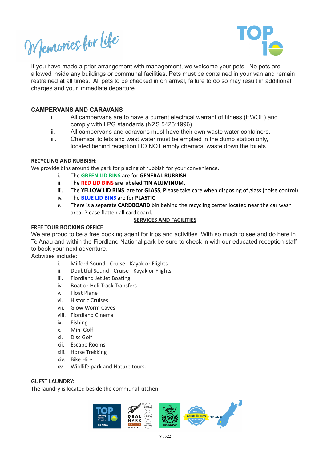Memories for life



If you have made a prior arrangement with management, we welcome your pets. No pets are allowed inside any buildings or communal facilities. Pets must be contained in your van and remain restrained at all times. All pets to be checked in on arrival, failure to do so may result in additional charges and your immediate departure.

#### **CAMPERVANS AND CARAVANS**

- i. All campervans are to have a current electrical warrant of fitness (EWOF) and comply with LPG standards (NZS 5423:1996)
- ii. All campervans and caravans must have their own waste water containers.
- iii. Chemical toilets and wast water must be emptied in the dump station only, located behind reception DO NOT empty chemical waste down the toilets.

#### **RECYCLING AND RUBBISH:**

We provide bins around the park for placing of rubbish for your convenience.

- i. The **GREEN LID BINS** are for **GENERAL RUBBISH**
- ii. The **RED LID BINS** are labeled **TIN ALUMINUM.**
- iii. The **YELLOW LID BINS** are for **GLASS**, Please take care when disposing of glass (noise control)
- iv. The **BLUE LID BINS** are for **PLASTIC**
- *v.* There is a separate **CARDBOARD** bin behind the recycling center located near the car wash area. Please flatten all cardboard.

#### **SERVICES AND FACILITIES**

#### **FREE TOUR BOOKING OFFICE**

We are proud to be a free booking agent for trips and activities. With so much to see and do here in Te Anau and within the Fiordland National park be sure to check in with our educated reception staff to book your next adventure.

Activities include:

- i. Milford Sound Cruise Kayak or Flights
- ii. Doubtful Sound Cruise Kayak or Flights
- iii. Fiordland Jet Jet Boating
- iv. Boat or Heli Track Transfers
- v. Float Plane
- vi. Historic Cruises
- vii. Glow Worm Caves
- viii. Fiordland Cinema
- ix. Fishing
- x. Mini Golf
- xi. Disc Golf
- xii. Escape Rooms
- xiii. Horse Trekking
- xiv. Bike Hire
- xv. Wildlife park and Nature tours.

#### **GUEST LAUNDRY:**

The laundry is located beside the communal kitchen.

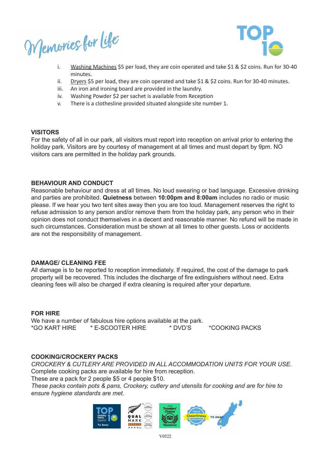Memories for life



- i. Washing Machines \$5 per load, they are coin operated and take \$1 & \$2 coins. Run for 30-40 minutes.
- ii. Dryers \$5 per load, they are coin operated and take \$1 & \$2 coins. Run for 30-40 minutes.
- iii. An iron and ironing board are provided in the laundry.
- iv. Washing Powder \$2 per sachet is available from Reception
- v. There is a clothesline provided situated alongside site number 1.

#### **VISITORS**

For the safety of all in our park, all visitors must report into reception on arrival prior to entering the holiday park. Visitors are by courtesy of management at all times and must depart by 9pm. NO visitors cars are permitted in the holiday park grounds.

#### **BEHAVIOUR AND CONDUCT**

Reasonable behaviour and dress at all times. No loud swearing or bad language. Excessive drinking and parties are prohibited. **Quietness** between **10:00pm and 8:00am** includes no radio or music please. If we hear you two tent sites away then you are too loud. Management reserves the right to refuse admission to any person and/or remove them from the holiday park, any person who in their opinion does not conduct themselves in a decent and reasonable manner. No refund will be made in such circumstances. Consideration must be shown at all times to other guests. Loss or accidents are not the responsibility of management.

#### **DAMAGE/ CLEANING FEE**

All damage is to be reported to reception immediately. If required, the cost of the damage to park property will be recovered. This includes the discharge of fire extinguishers without need. Extra cleaning fees will also be charged if extra cleaning is required after your departure.

#### **FOR HIRE**

We have a number of fabulous hire options available at the park. \*GO KART HIRE \* E-SCOOTER HIRE \* DVD'S \*COOKING PACKS

#### **COOKING/CROCKERY PACKS**

*CROCKERY & CUTLERY ARE PROVIDED IN ALL ACCOMMODATION UNITS FOR YOUR USE.* Complete cooking packs are available for hire from reception.

These are a pack for 2 people \$5 or 4 people \$10.

*These packs contain pots & pans, Crockery, cutlery and utensils for cooking and are for hire to ensure hygiene standards are met.*

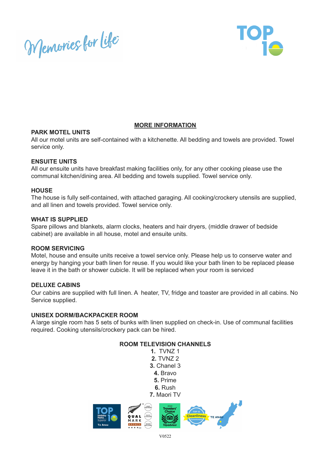Memories for life



#### **MORE INFORMATION**

#### **PARK MOTEL UNITS**

All our motel units are self-contained with a kitchenette. All bedding and towels are provided. Towel service only.

#### **ENSUITE UNITS**

All our ensuite units have breakfast making facilities only, for any other cooking please use the communal kitchen/dining area. All bedding and towels supplied. Towel service only.

#### **HOUSE**

The house is fully self-contained, with attached garaging. All cooking/crockery utensils are supplied, and all linen and towels provided. Towel service only.

#### **WHAT IS SUPPLIED**

Spare pillows and blankets, alarm clocks, heaters and hair dryers, (middle drawer of bedside cabinet) are available in all house, motel and ensuite units.

#### **ROOM SERVICING**

Motel, house and ensuite units receive a towel service only. Please help us to conserve water and energy by hanging your bath linen for reuse. If you would like your bath linen to be replaced please leave it in the bath or shower cubicle. It will be replaced when your room is serviced

#### **DELUXE CABINS**

Our cabins are supplied with full linen. A heater, TV, fridge and toaster are provided in all cabins. No Service supplied.

#### **UNISEX DORM/BACKPACKER ROOM**

A large single room has 5 sets of bunks with linen supplied on check-in. Use of communal facilities required. Cooking utensils/crockery pack can be hired.

#### **ROOM TELEVISION CHANNELS**

**1.** TVNZ 1 **2.** TVNZ 2 **3.** Chanel 3 **4.** Bravo **5.** Prime **6.** Rush **7.** Maori TV

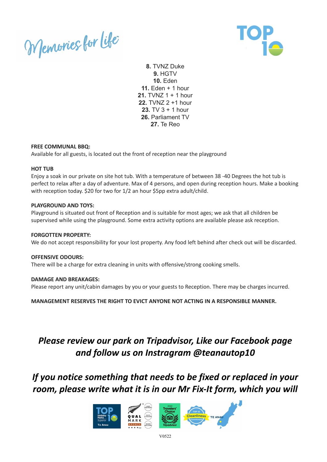



**8.** TVNZ Duke **9.** HGTV **10.** Eden **11.** Eden + 1 hour **21.** TVNZ 1 + 1 hour **22.** TVNZ 2 +1 hour **23.** TV 3 + 1 hour **26.** Parliament TV **27.** Te Reo

#### **FREE COMMUNAL BBQ:**

Available for all guests, is located out the front of reception near the playground

#### **HOT TUB**

Enjoy a soak in our private on site hot tub. With a temperature of between 38 -40 Degrees the hot tub is perfect to relax after a day of adventure. Max of 4 persons, and open during reception hours. Make a booking with reception today. \$20 for two for 1/2 an hour \$5pp extra adult/child.

#### **PLAYGROUND AND TOYS:**

Playground is situated out front of Reception and is suitable for most ages; we ask that all children be supervised while using the playground. Some extra activity options are available please ask reception.

#### **FORGOTTEN PROPERTY:**

We do not accept responsibility for your lost property. Any food left behind after check out will be discarded.

#### **OFFENSIVE ODOURS:**

There will be a charge for extra cleaning in units with offensive/strong cooking smells.

#### **DAMAGE AND BREAKAGES:**

Please report any unit/cabin damages by you or your guests to Reception. There may be charges incurred.

**MANAGEMENT RESERVES THE RIGHT TO EVICT ANYONE NOT ACTING IN A RESPONSIBLE MANNER.**

### *Please review our park on Tripadvisor, Like our Facebook page and follow us on Instragram @teanautop10*

*If you notice something that needs to be fixed or replaced in your room, please write what it is in our Mr Fix-It form, which you will*